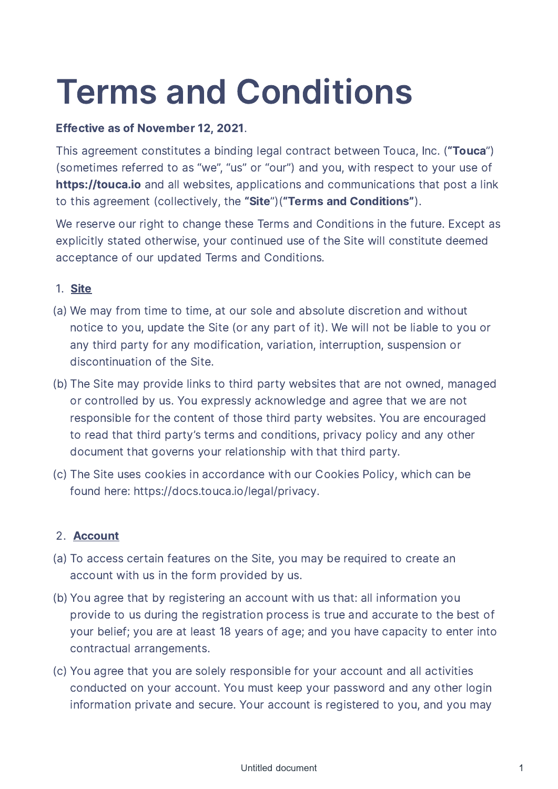# Terms and Conditions

## Effective as of November 12, 2021.

This agreement constitutes a binding legal contract between Touca, Inc. ("Touca") (sometimes referred to as "we", "us" or "our") and you, with respect to your use of https://touca.io and all websites, applications and communications that post a link to this agreement (collectively, the "Site")("Terms and Conditions").

We reserve our right to change these Terms and Conditions in the future. Except as explicitly stated otherwise, your continued use of the Site will constitute deemed acceptance of our updated Terms and Conditions.

## 1. Site

- We may from time to time, at our sole and absolute discretion and without (a) notice to you, update the Site (or any part of it). We will not be liable to you or any third party for any modification, variation, interruption, suspension or discontinuation of the Site.
- (b) The Site may provide links to third party websites that are not owned, managed or controlled by us. You expressly acknowledge and agree that we are not responsible for the content of those third party websites. You are encouraged to read that third party's terms and conditions, privacy policy and any other document that governs your relationship with that third party.
- (c) The Site uses cookies in accordance with our Cookies Policy, which can be found here: https://docs.touca.io/legal/privacy.

## 2. Account

- (a) To access certain features on the Site, you may be required to create an account with us in the form provided by us.
- (b) You agree that by registering an account with us that: all information you provide to us during the registration process is true and accurate to the best of your belief; you are at least 18 years of age; and you have capacity to enter into contractual arrangements.
- You agree that you are solely responsible for your account and all activities (c)conducted on your account. You must keep your password and any other login information private and secure. Your account is registered to you, and you may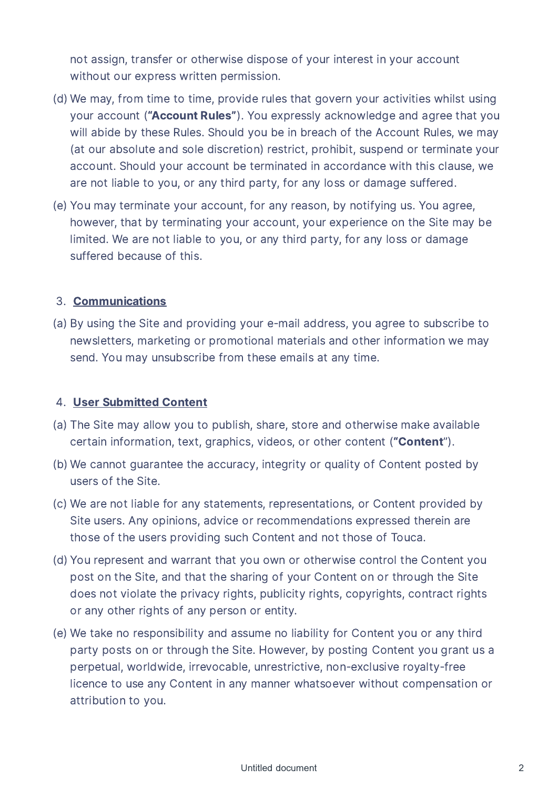not assign, transfer or otherwise dispose of your interest in your account without our express written permission.

- (d) We may, from time to time, provide rules that govern your activities whilst using your account ("Account Rules"). You expressly acknowledge and agree that you will abide by these Rules. Should you be in breach of the Account Rules, we may (at our absolute and sole discretion) restrict, prohibit, suspend or terminate your account. Should your account be terminated in accordance with this clause, we are not liable to you, or any third party, for any loss or damage suffered.
- (e) You may terminate your account, for any reason, by notifying us. You agree, however, that by terminating your account, your experience on the Site may be limited. We are not liable to you, or any third party, for any loss or damage suffered because of this.

## 3. Communications

(a) By using the Site and providing your e-mail address, you agree to subscribe to newsletters, marketing or promotional materials and other information we may send. You may unsubscribe from these emails at any time.

## 4. User Submitted Content

- (a) The Site may allow you to publish, share, store and otherwise make available certain information, text, graphics, videos, or other content ("Content").
- (b) We cannot quarantee the accuracy, integrity or quality of Content posted by users of the Site.
- We are not liable for any statements, representations, or Content provided by (c) Site users. Any opinions, advice or recommendations expressed therein are those of the users providing such Content and not those of Touca.
- (d) You represent and warrant that you own or otherwise control the Content you post on the Site, and that the sharing of your Content on or through the Site does not violate the privacy rights, publicity rights, copyrights, contract rights or any other rights of any person or entity.
- We take no responsibility and assume no liability for Content you or any third (e)party posts on or through the Site. However, by posting Content you grant us a perpetual, worldwide, irrevocable, unrestrictive, non-exclusive royalty-free licence to use any Content in any manner whatsoever without compensation or attribution to you.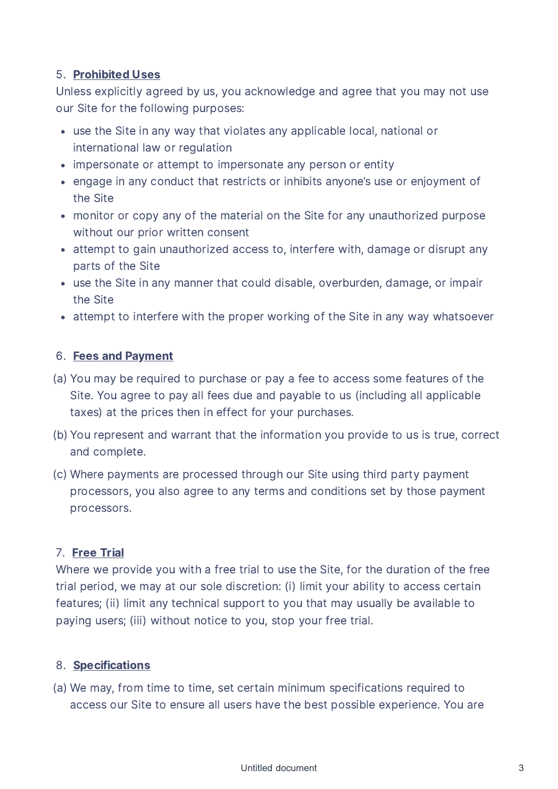## 5. Prohibited Uses

Unless explicitly agreed by us, you acknowledge and agree that you may not use our Site for the following purposes:

- use the Site in any way that violates any applicable local, national or international law or regulation
- impersonate or attempt to impersonate any person or entity
- engage in any conduct that restricts or inhibits anyone's use or enjoyment of the Site
- monitor or copy any of the material on the Site for any unauthorized purpose without our prior written consent
- attempt to gain unauthorized access to, interfere with, damage or disrupt any parts of the Site
- use the Site in any manner that could disable, overburden, damage, or impair the Site
- attempt to interfere with the proper working of the Site in any way whatsoever

## 6. Fees and Payment

- (a) You may be required to purchase or pay a fee to access some features of the Site. You agree to pay all fees due and payable to us (including all applicable taxes) at the prices then in effect for your purchases.
- (b) You represent and warrant that the information you provide to us is true, correct and complete.
- Where payments are processed through our Site using third party payment (c) processors, you also agree to any terms and conditions set by those payment processors.

# 7. Free Trial

Where we provide you with a free trial to use the Site, for the duration of the free trial period, we may at our sole discretion: (i) limit your ability to access certain features; (ii) limit any technical support to you that may usually be available to paying users; (iii) without notice to you, stop your free trial.

# 8. Specifications

(a) We may, from time to time, set certain minimum specifications required to access our Site to ensure all users have the best possible experience. You are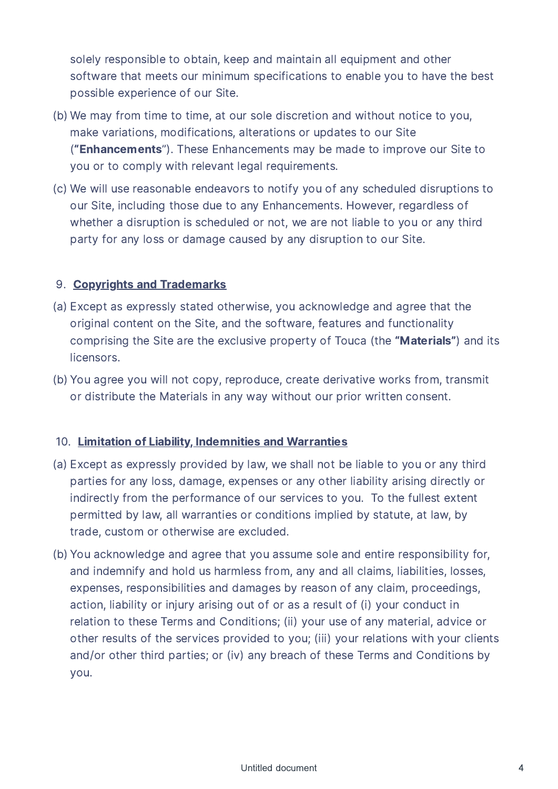solely responsible to obtain, keep and maintain all equipment and other software that meets our minimum specifications to enable you to have the best possible experience of our Site.

- (b) We may from time to time, at our sole discretion and without notice to you. make variations, modifications, alterations or updates to our Site ("Enhancements"). These Enhancements may be made to improve our Site to you or to comply with relevant legal requirements.
- We will use reasonable endeavors to notify you of any scheduled disruptions to (c) our Site, including those due to any Enhancements. However, regardless of whether a disruption is scheduled or not, we are not liable to you or any third party for any loss or damage caused by any disruption to our Site.

# 9. Copyrights and Trademarks

- (a) Except as expressly stated otherwise, you acknowledge and agree that the original content on the Site, and the software, features and functionality comprising the Site are the exclusive property of Touca (the "Materials") and its licensors.
- (b) You agree you will not copy, reproduce, create derivative works from, transmit or distribute the Materials in any way without our prior written consent.

## 10. Limitation of Liability, Indemnities and Warranties

- (a) Except as expressly provided by law, we shall not be liable to you or any third parties for any loss, damage, expenses or any other liability arising directly or indirectly from the performance of our services to you. To the fullest extent permitted by law, all warranties or conditions implied by statute, at law, by trade, custom or otherwise are excluded.
- (b) You acknowledge and agree that you assume sole and entire responsibility for. and indemnify and hold us harmless from, any and all claims, liabilities, losses, expenses, responsibilities and damages by reason of any claim, proceedings, action, liability or injury arising out of or as a result of (i) your conduct in relation to these Terms and Conditions; (ii) your use of any material, advice or other results of the services provided to you; (iii) your relations with your clients and/or other third parties; or (iv) any breach of these Terms and Conditions by you.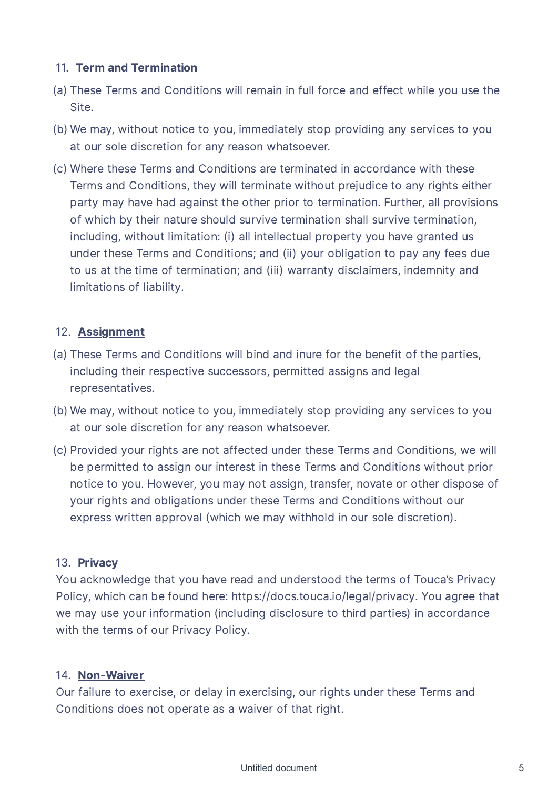## 11. Term and Termination

- (a) These Terms and Conditions will remain in full force and effect while you use the Site.
- (b) We may, without notice to you, immediately stop providing any services to you at our sole discretion for any reason whatsoever.
- Where these Terms and Conditions are terminated in accordance with these (c) Terms and Conditions, they will terminate without prejudice to any rights either party may have had against the other prior to termination. Further, all provisions of which by their nature should survive termination shall survive termination, including, without limitation: (i) all intellectual property you have granted us under these Terms and Conditions; and (ii) your obligation to pay any fees due to us at the time of termination; and (iii) warranty disclaimers, indemnity and limitations of liability.

# 12. Assignment

- (a) These Terms and Conditions will bind and inure for the benefit of the parties, including their respective successors, permitted assigns and legal representatives.
- (b) We may, without notice to you, immediately stop providing any services to you at our sole discretion for any reason whatsoever.
- (c) Provided your rights are not affected under these Terms and Conditions, we will be permitted to assign our interest in these Terms and Conditions without prior notice to you. However, you may not assign, transfer, novate or other dispose of your rights and obligations under these Terms and Conditions without our express written approval (which we may withhold in our sole discretion).

# 13. Privacy

You acknowledge that you have read and understood the terms of Touca's Privacy Policy, which can be found here: https://docs.touca.io/legal/privacy. You agree that we may use your information (including disclosure to third parties) in accordance with the terms of our Privacy Policy.

## 14. Non-Waiver

Our failure to exercise, or delay in exercising, our rights under these Terms and Conditions does not operate as a waiver of that right.